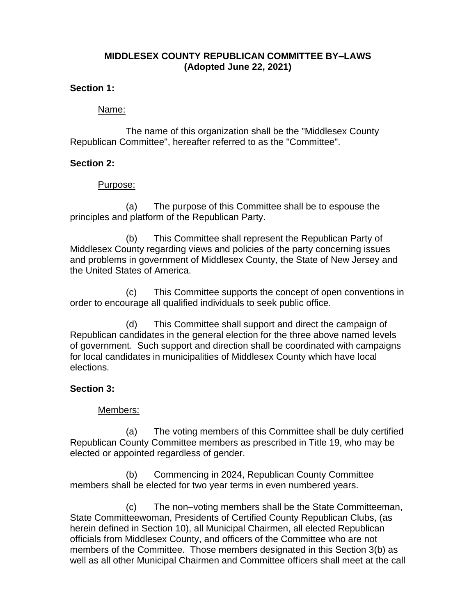# **MIDDLESEX COUNTY REPUBLICAN COMMITTEE BY–LAWS (Adopted June 22, 2021)**

### **Section 1:**

### Name:

The name of this organization shall be the "Middlesex County Republican Committee", hereafter referred to as the "Committee".

## **Section 2:**

## Purpose:

(a) The purpose of this Committee shall be to espouse the principles and platform of the Republican Party.

(b) This Committee shall represent the Republican Party of Middlesex County regarding views and policies of the party concerning issues and problems in government of Middlesex County, the State of New Jersey and the United States of America.

(c) This Committee supports the concept of open conventions in order to encourage all qualified individuals to seek public office.

(d) This Committee shall support and direct the campaign of Republican candidates in the general election for the three above named levels of government. Such support and direction shall be coordinated with campaigns for local candidates in municipalities of Middlesex County which have local elections.

### **Section 3:**

### Members:

(a) The voting members of this Committee shall be duly certified Republican County Committee members as prescribed in Title 19, who may be elected or appointed regardless of gender.

(b) Commencing in 2024, Republican County Committee members shall be elected for two year terms in even numbered years.

(c) The non–voting members shall be the State Committeeman, State Committeewoman, Presidents of Certified County Republican Clubs, (as herein defined in Section 10), all Municipal Chairmen, all elected Republican officials from Middlesex County, and officers of the Committee who are not members of the Committee. Those members designated in this Section 3(b) as well as all other Municipal Chairmen and Committee officers shall meet at the call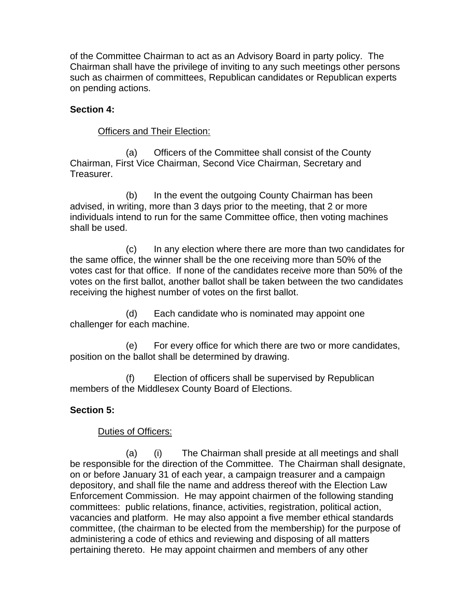of the Committee Chairman to act as an Advisory Board in party policy. The Chairman shall have the privilege of inviting to any such meetings other persons such as chairmen of committees, Republican candidates or Republican experts on pending actions.

## **Section 4:**

## Officers and Their Election:

(a) Officers of the Committee shall consist of the County Chairman, First Vice Chairman, Second Vice Chairman, Secretary and Treasurer.

(b) In the event the outgoing County Chairman has been advised, in writing, more than 3 days prior to the meeting, that 2 or more individuals intend to run for the same Committee office, then voting machines shall be used.

(c) In any election where there are more than two candidates for the same office, the winner shall be the one receiving more than 50% of the votes cast for that office. If none of the candidates receive more than 50% of the votes on the first ballot, another ballot shall be taken between the two candidates receiving the highest number of votes on the first ballot.

(d) Each candidate who is nominated may appoint one challenger for each machine.

(e) For every office for which there are two or more candidates, position on the ballot shall be determined by drawing.

(f) Election of officers shall be supervised by Republican members of the Middlesex County Board of Elections.

# **Section 5:**

# Duties of Officers:

(a) (i) The Chairman shall preside at all meetings and shall be responsible for the direction of the Committee. The Chairman shall designate, on or before January 31 of each year, a campaign treasurer and a campaign depository, and shall file the name and address thereof with the Election Law Enforcement Commission. He may appoint chairmen of the following standing committees: public relations, finance, activities, registration, political action, vacancies and platform. He may also appoint a five member ethical standards committee, (the chairman to be elected from the membership) for the purpose of administering a code of ethics and reviewing and disposing of all matters pertaining thereto. He may appoint chairmen and members of any other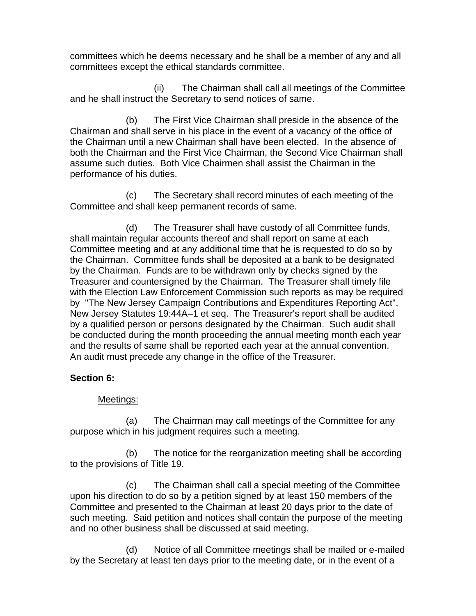committees which he deems necessary and he shall be a member of any and all committees except the ethical standards committee.

(ii) The Chairman shall call all meetings of the Committee and he shall instruct the Secretary to send notices of same.

(b) The First Vice Chairman shall preside in the absence of the Chairman and shall serve in his place in the event of a vacancy of the office of the Chairman until a new Chairman shall have been elected. In the absence of both the Chairman and the First Vice Chairman, the Second Vice Chairman shall assume such duties. Both Vice Chairmen shall assist the Chairman in the performance of his duties.

(c) The Secretary shall record minutes of each meeting of the Committee and shall keep permanent records of same.

(d) The Treasurer shall have custody of all Committee funds, shall maintain regular accounts thereof and shall report on same at each Committee meeting and at any additional time that he is requested to do so by the Chairman. Committee funds shall be deposited at a bank to be designated by the Chairman. Funds are to be withdrawn only by checks signed by the Treasurer and countersigned by the Chairman. The Treasurer shall timely file with the Election Law Enforcement Commission such reports as may be required by "The New Jersey Campaign Contributions and Expenditures Reporting Act", New Jersey Statutes 19:44A–1 et seq. The Treasurer's report shall be audited by a qualified person or persons designated by the Chairman. Such audit shall be conducted during the month proceeding the annual meeting month each year and the results of same shall be reported each year at the annual convention. An audit must precede any change in the office of the Treasurer.

# **Section 6:**

# Meetings:

(a) The Chairman may call meetings of the Committee for any purpose which in his judgment requires such a meeting.

(b) The notice for the reorganization meeting shall be according to the provisions of Title 19.

(c) The Chairman shall call a special meeting of the Committee upon his direction to do so by a petition signed by at least 150 members of the Committee and presented to the Chairman at least 20 days prior to the date of such meeting. Said petition and notices shall contain the purpose of the meeting and no other business shall be discussed at said meeting.

(d) Notice of all Committee meetings shall be mailed or e-mailed by the Secretary at least ten days prior to the meeting date, or in the event of a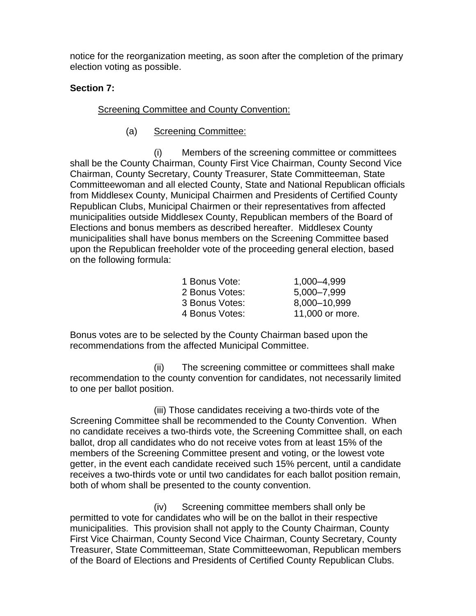notice for the reorganization meeting, as soon after the completion of the primary election voting as possible.

# **Section 7:**

# Screening Committee and County Convention:

(a) Screening Committee:

(i) Members of the screening committee or committees shall be the County Chairman, County First Vice Chairman, County Second Vice Chairman, County Secretary, County Treasurer, State Committeeman, State Committeewoman and all elected County, State and National Republican officials from Middlesex County, Municipal Chairmen and Presidents of Certified County Republican Clubs, Municipal Chairmen or their representatives from affected municipalities outside Middlesex County, Republican members of the Board of Elections and bonus members as described hereafter. Middlesex County municipalities shall have bonus members on the Screening Committee based upon the Republican freeholder vote of the proceeding general election, based on the following formula:

| 1 Bonus Vote:  | 1,000-4,999     |
|----------------|-----------------|
| 2 Bonus Votes: | 5,000-7,999     |
| 3 Bonus Votes: | 8,000-10,999    |
| 4 Bonus Votes: | 11,000 or more. |

Bonus votes are to be selected by the County Chairman based upon the recommendations from the affected Municipal Committee.

(ii) The screening committee or committees shall make recommendation to the county convention for candidates, not necessarily limited to one per ballot position.

(iii) Those candidates receiving a two-thirds vote of the Screening Committee shall be recommended to the County Convention. When no candidate receives a two-thirds vote, the Screening Committee shall, on each ballot, drop all candidates who do not receive votes from at least 15% of the members of the Screening Committee present and voting, or the lowest vote getter, in the event each candidate received such 15% percent, until a candidate receives a two-thirds vote or until two candidates for each ballot position remain, both of whom shall be presented to the county convention.

(iv) Screening committee members shall only be permitted to vote for candidates who will be on the ballot in their respective municipalities. This provision shall not apply to the County Chairman, County First Vice Chairman, County Second Vice Chairman, County Secretary, County Treasurer, State Committeeman, State Committeewoman, Republican members of the Board of Elections and Presidents of Certified County Republican Clubs.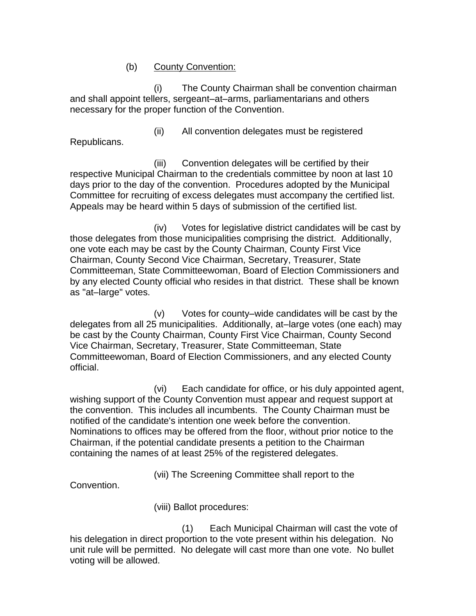### (b) County Convention:

(i) The County Chairman shall be convention chairman and shall appoint tellers, sergeant–at–arms, parliamentarians and others necessary for the proper function of the Convention.

Republicans.

(ii) All convention delegates must be registered

(iii) Convention delegates will be certified by their respective Municipal Chairman to the credentials committee by noon at last 10 days prior to the day of the convention. Procedures adopted by the Municipal Committee for recruiting of excess delegates must accompany the certified list. Appeals may be heard within 5 days of submission of the certified list.

(iv) Votes for legislative district candidates will be cast by those delegates from those municipalities comprising the district. Additionally, one vote each may be cast by the County Chairman, County First Vice Chairman, County Second Vice Chairman, Secretary, Treasurer, State Committeeman, State Committeewoman, Board of Election Commissioners and by any elected County official who resides in that district. These shall be known as "at–large" votes.

(v) Votes for county–wide candidates will be cast by the delegates from all 25 municipalities. Additionally, at–large votes (one each) may be cast by the County Chairman, County First Vice Chairman, County Second Vice Chairman, Secretary, Treasurer, State Committeeman, State Committeewoman, Board of Election Commissioners, and any elected County official.

(vi) Each candidate for office, or his duly appointed agent, wishing support of the County Convention must appear and request support at the convention. This includes all incumbents. The County Chairman must be notified of the candidate's intention one week before the convention. Nominations to offices may be offered from the floor, without prior notice to the Chairman, if the potential candidate presents a petition to the Chairman containing the names of at least 25% of the registered delegates.

(vii) The Screening Committee shall report to the

Convention.

(viii) Ballot procedures:

(1) Each Municipal Chairman will cast the vote of his delegation in direct proportion to the vote present within his delegation. No unit rule will be permitted. No delegate will cast more than one vote. No bullet voting will be allowed.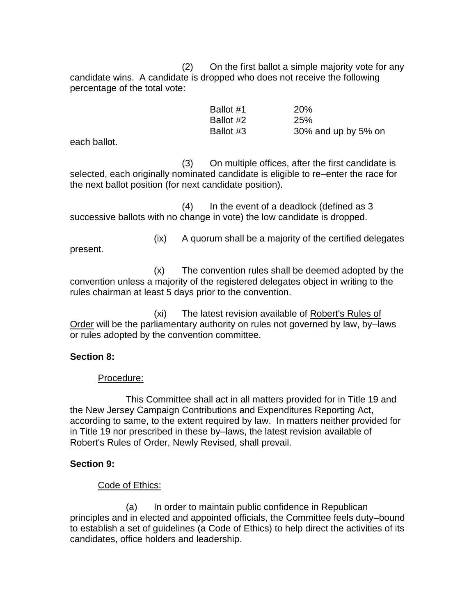(2) On the first ballot a simple majority vote for any candidate wins. A candidate is dropped who does not receive the following percentage of the total vote:

| Ballot #1 | <b>20%</b>          |
|-----------|---------------------|
| Ballot #2 | <b>25%</b>          |
| Ballot #3 | 30% and up by 5% on |

each ballot.

(3) On multiple offices, after the first candidate is selected, each originally nominated candidate is eligible to re–enter the race for the next ballot position (for next candidate position).

(4) In the event of a deadlock (defined as 3 successive ballots with no change in vote) the low candidate is dropped.

present.

(ix) A quorum shall be a majority of the certified delegates

(x) The convention rules shall be deemed adopted by the convention unless a majority of the registered delegates object in writing to the rules chairman at least 5 days prior to the convention.

(xi) The latest revision available of Robert's Rules of Order will be the parliamentary authority on rules not governed by law, by–laws or rules adopted by the convention committee.

# **Section 8:**

Procedure:

This Committee shall act in all matters provided for in Title 19 and the New Jersey Campaign Contributions and Expenditures Reporting Act, according to same, to the extent required by law. In matters neither provided for in Title 19 nor prescribed in these by–laws, the latest revision available of Robert's Rules of Order, Newly Revised, shall prevail.

# **Section 9:**

Code of Ethics:

(a) In order to maintain public confidence in Republican principles and in elected and appointed officials, the Committee feels duty–bound to establish a set of guidelines (a Code of Ethics) to help direct the activities of its candidates, office holders and leadership.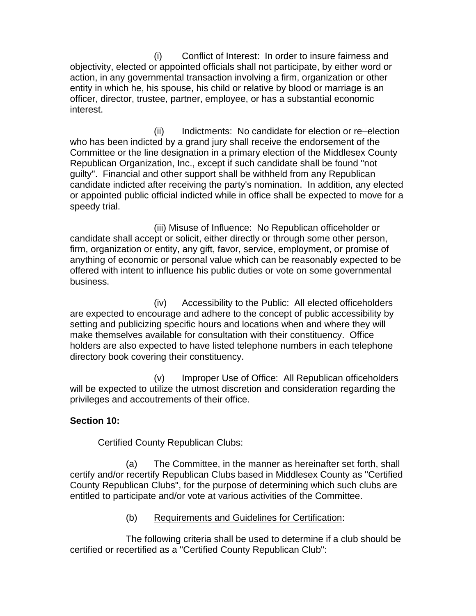(i) Conflict of Interest: In order to insure fairness and objectivity, elected or appointed officials shall not participate, by either word or action, in any governmental transaction involving a firm, organization or other entity in which he, his spouse, his child or relative by blood or marriage is an officer, director, trustee, partner, employee, or has a substantial economic interest.

(ii) Indictments: No candidate for election or re–election who has been indicted by a grand jury shall receive the endorsement of the Committee or the line designation in a primary election of the Middlesex County Republican Organization, Inc., except if such candidate shall be found "not guilty". Financial and other support shall be withheld from any Republican candidate indicted after receiving the party's nomination. In addition, any elected or appointed public official indicted while in office shall be expected to move for a speedy trial.

(iii) Misuse of Influence: No Republican officeholder or candidate shall accept or solicit, either directly or through some other person, firm, organization or entity, any gift, favor, service, employment, or promise of anything of economic or personal value which can be reasonably expected to be offered with intent to influence his public duties or vote on some governmental business.

(iv) Accessibility to the Public: All elected officeholders are expected to encourage and adhere to the concept of public accessibility by setting and publicizing specific hours and locations when and where they will make themselves available for consultation with their constituency. Office holders are also expected to have listed telephone numbers in each telephone directory book covering their constituency.

(v) Improper Use of Office: All Republican officeholders will be expected to utilize the utmost discretion and consideration regarding the privileges and accoutrements of their office.

# **Section 10:**

# Certified County Republican Clubs:

(a) The Committee, in the manner as hereinafter set forth, shall certify and/or recertify Republican Clubs based in Middlesex County as "Certified County Republican Clubs", for the purpose of determining which such clubs are entitled to participate and/or vote at various activities of the Committee.

(b) Requirements and Guidelines for Certification:

The following criteria shall be used to determine if a club should be certified or recertified as a "Certified County Republican Club":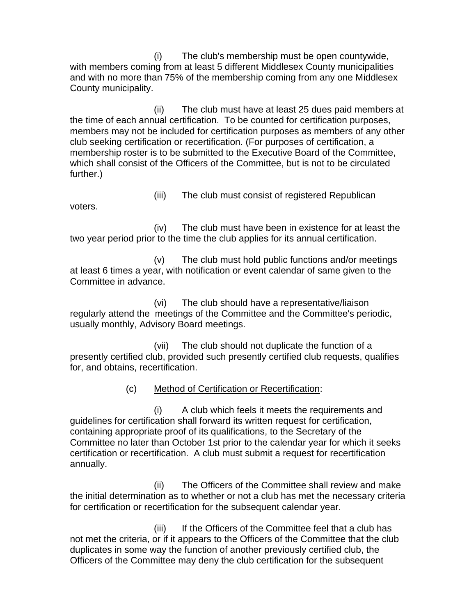(i) The club's membership must be open countywide, with members coming from at least 5 different Middlesex County municipalities and with no more than 75% of the membership coming from any one Middlesex County municipality.

(ii) The club must have at least 25 dues paid members at the time of each annual certification. To be counted for certification purposes, members may not be included for certification purposes as members of any other club seeking certification or recertification. (For purposes of certification, a membership roster is to be submitted to the Executive Board of the Committee, which shall consist of the Officers of the Committee, but is not to be circulated further.)

voters.

(iii) The club must consist of registered Republican

(iv) The club must have been in existence for at least the two year period prior to the time the club applies for its annual certification.

(v) The club must hold public functions and/or meetings at least 6 times a year, with notification or event calendar of same given to the Committee in advance.

(vi) The club should have a representative/liaison regularly attend the meetings of the Committee and the Committee's periodic, usually monthly, Advisory Board meetings.

(vii) The club should not duplicate the function of a presently certified club, provided such presently certified club requests, qualifies for, and obtains, recertification.

(c) Method of Certification or Recertification:

(i) A club which feels it meets the requirements and guidelines for certification shall forward its written request for certification, containing appropriate proof of its qualifications, to the Secretary of the Committee no later than October 1st prior to the calendar year for which it seeks certification or recertification. A club must submit a request for recertification annually.

(ii) The Officers of the Committee shall review and make the initial determination as to whether or not a club has met the necessary criteria for certification or recertification for the subsequent calendar year.

(iii) If the Officers of the Committee feel that a club has not met the criteria, or if it appears to the Officers of the Committee that the club duplicates in some way the function of another previously certified club, the Officers of the Committee may deny the club certification for the subsequent